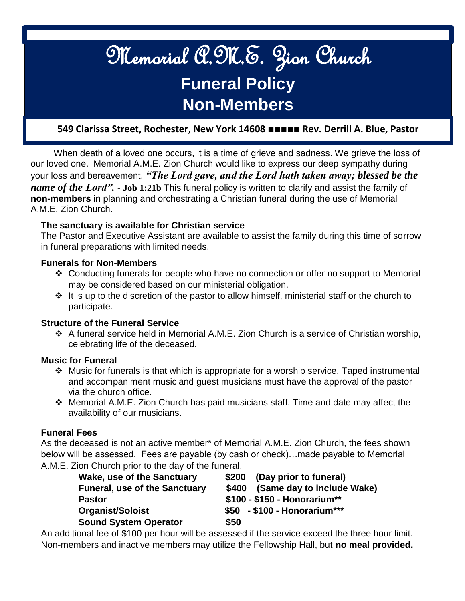# Memorial A.M.E. Zion Church **Funeral Policy Non-Members**

 $\mathcal{T}_{\mathcal{A}}$  [Type here]  $\mathcal{T}_{\mathcal{A}}$  [Type here]  $\mathcal{T}_{\mathcal{A}}$  [Type here]  $\mathcal{T}_{\mathcal{A}}$ 

# **549 Clarissa Street, Rochester, New York 14608 ■■■■■ Rev. Derrill A. Blue, Pastor**

 When death of a loved one occurs, it is a time of grieve and sadness. We grieve the loss of our loved one. Memorial A.M.E. Zion Church would like to express our deep sympathy during your loss and bereavement. *"The Lord gave, and the Lord hath taken away; blessed be the name of the Lord".* - **Job 1:21b** This funeral policy is written to clarify and assist the family of **non-members** in planning and orchestrating a Christian funeral during the use of Memorial A.M.E. Zion Church.

#### **The sanctuary is available for Christian service**

The Pastor and Executive Assistant are available to assist the family during this time of sorrow in funeral preparations with limited needs.

#### **Funerals for Non-Members**

- Conducting funerals for people who have no connection or offer no support to Memorial may be considered based on our ministerial obligation.
- $\div$  It is up to the discretion of the pastor to allow himself, ministerial staff or the church to participate.

#### **Structure of the Funeral Service**

 $\cdot$  A funeral service held in Memorial A.M.E. Zion Church is a service of Christian worship, celebrating life of the deceased.

#### **Music for Funeral**

- Music for funerals is that which is appropriate for a worship service. Taped instrumental and accompaniment music and guest musicians must have the approval of the pastor via the church office.
- Memorial A.M.E. Zion Church has paid musicians staff. Time and date may affect the availability of our musicians.

#### **Funeral Fees**

As the deceased is not an active member\* of Memorial A.M.E. Zion Church, the fees shown below will be assessed. Fees are payable (by cash or check)…made payable to Memorial A.M.E. Zion Church prior to the day of the funeral.

| <b>Wake, use of the Sanctuary</b>    | \$200 (Day prior to funeral)     |
|--------------------------------------|----------------------------------|
| <b>Funeral, use of the Sanctuary</b> | \$400 (Same day to include Wake) |
| <b>Pastor</b>                        | \$100 - \$150 - Honorarium**     |
| <b>Organist/Soloist</b>              | $$50$ - \$100 - Honorarium***    |
| <b>Sound System Operator</b>         | \$50                             |

An additional fee of \$100 per hour will be assessed if the service exceed the three hour limit. Non-members and inactive members may utilize the Fellowship Hall, but **no meal provided.**